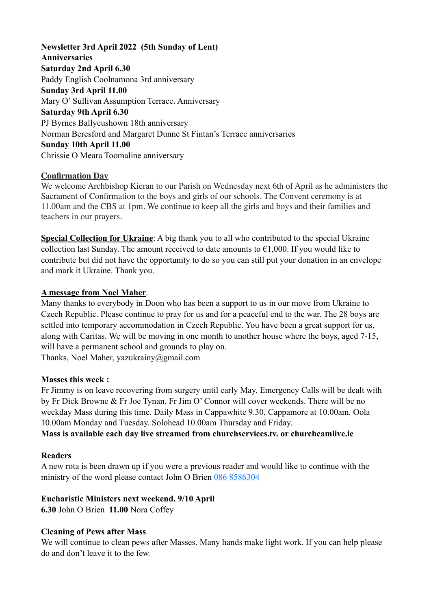# **Newsletter 3rd April 2022 (5th Sunday of Lent) Anniversaries Saturday 2nd April 6.30**  Paddy English Coolnamona 3rd anniversary **Sunday 3rd April 11.00** Mary O' Sullivan Assumption Terrace. Anniversary **Saturday 9th April 6.30** PJ Byrnes Ballycushown 18th anniversary Norman Beresford and Margaret Dunne St Fintan's Terrace anniversaries **Sunday 10th April 11.00**  Chrissie O Meara Toomaline anniversary

## **Confirmation Day**

We welcome Archbishop Kieran to our Parish on Wednesday next 6th of April as he administers the Sacrament of Confirmation to the boys and girls of our schools. The Convent ceremony is at 11.00am and the CBS at 1pm. We continue to keep all the girls and boys and their families and teachers in our prayers.

**Special Collection for Ukraine**: A big thank you to all who contributed to the special Ukraine collection last Sunday. The amount received to date amounts to  $\epsilon$ 1,000. If you would like to contribute but did not have the opportunity to do so you can still put your donation in an envelope and mark it Ukraine. Thank you.

## **A message from Noel Maher**.

Many thanks to everybody in Doon who has been a support to us in our move from Ukraine to Czech Republic. Please continue to pray for us and for a peaceful end to the war. The 28 boys are settled into temporary accommodation in Czech Republic. You have been a great support for us, along with Caritas. We will be moving in one month to another house where the boys, aged 7-15, will have a permanent school and grounds to play on.

Thanks, Noel Maher, yazukrainy@gmail.com

### **Masses this week :**

Fr Jimmy is on leave recovering from surgery until early May. Emergency Calls will be dealt with by Fr Dick Browne & Fr Joe Tynan. Fr Jim O' Connor will cover weekends. There will be no weekday Mass during this time. Daily Mass in Cappawhite 9.30, Cappamore at 10.00am. Oola 10.00am Monday and Tuesday. Solohead 10.00am Thursday and Friday.

**Mass is available each day live streamed from churchservices.tv. or [churchcamlive.ie](http://churchcamlive.ie)** 

# **Readers**

A new rota is been drawn up if you were a previous reader and would like to continue with the ministry of the word please contact John O Brien 086 8586304

# **Eucharistic Ministers next weekend. 9/10 April**

**6.30** John O Brien **11.00** Nora Coffey

# **Cleaning of Pews after Mass**

We will continue to clean pews after Masses. Many hands make light work. If you can help please do and don't leave it to the few.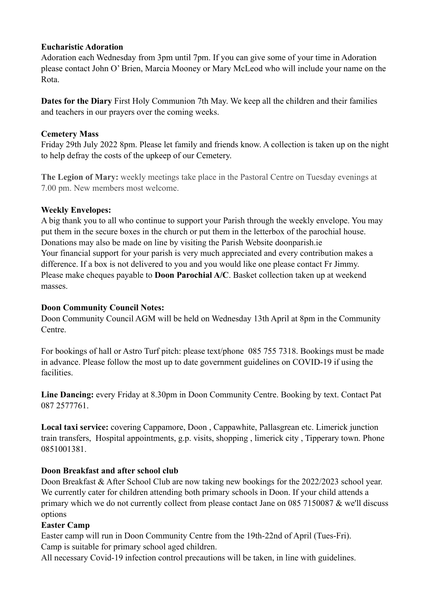#### **Eucharistic Adoration**

Adoration each Wednesday from 3pm until 7pm. If you can give some of your time in Adoration please contact John O' Brien, Marcia Mooney or Mary McLeod who will include your name on the Rota.

**Dates for the Diary** First Holy Communion 7th May. We keep all the children and their families and teachers in our prayers over the coming weeks.

### **Cemetery Mass**

Friday 29th July 2022 8pm. Please let family and friends know. A collection is taken up on the night to help defray the costs of the upkeep of our Cemetery.

**The Legion of Mary:** weekly meetings take place in the Pastoral Centre on Tuesday evenings at 7.00 pm. New members most welcome.

#### **Weekly Envelopes:**

A big thank you to all who continue to support your Parish through the weekly envelope. You may put them in the secure boxes in the church or put them in the letterbox of the parochial house. Donations may also be made on line by visiting the Parish Website [doonparish.ie](http://doonparish.ie) Your financial support for your parish is very much appreciated and every contribution makes a difference. If a box is not delivered to you and you would like one please contact Fr Jimmy. Please make cheques payable to **Doon Parochial A/C**. Basket collection taken up at weekend masses.

#### **Doon Community Council Notes:**

Doon Community Council AGM will be held on Wednesday 13th April at 8pm in the Community Centre.

For bookings of hall or Astro Turf pitch: please text/phone 085 755 7318. Bookings must be made in advance. Please follow the most up to date government guidelines on COVID-19 if using the facilities.

**Line Dancing:** every Friday at 8.30pm in Doon Community Centre. Booking by text. Contact Pat 087 2577761.

**Local taxi service:** covering Cappamore, Doon , Cappawhite, Pallasgrean etc. Limerick junction train transfers, Hospital appointments, g.p. visits, shopping , limerick city , Tipperary town. Phone 0851001381.

### **Doon Breakfast and after school club**

Doon Breakfast & After School Club are now taking new bookings for the 2022/2023 school year. We currently cater for children attending both primary schools in Doon. If your child attends a primary which we do not currently collect from please contact Jane on 085 7150087 & we'll discuss options

### **Easter Camp**

Easter camp will run in Doon Community Centre from the 19th-22nd of April (Tues-Fri). Camp is suitable for primary school aged children.

All necessary Covid-19 infection control precautions will be taken, in line with guidelines.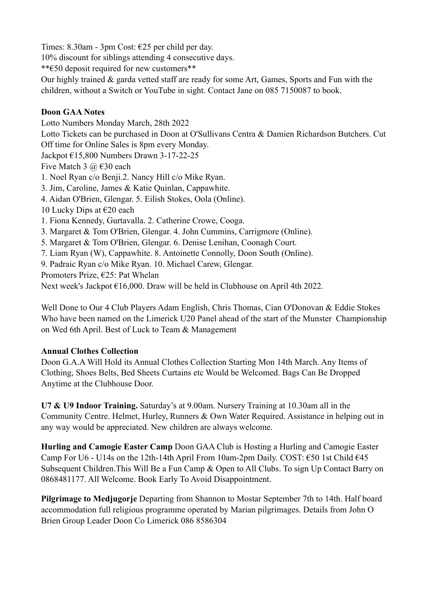Times: 8.30am - 3pm Cost: €25 per child per day.

10% discount for siblings attending 4 consecutive days.

\*\*€50 deposit required for new customers\*\*

Our highly trained & garda vetted staff are ready for some Art, Games, Sports and Fun with the children, without a Switch or YouTube in sight. Contact Jane on 085 7150087 to book.

## **Doon GAA Notes**

Lotto Numbers Monday March, 28th 2022

Lotto Tickets can be purchased in Doon at O'Sullivans Centra & Damien Richardson Butchers. Cut Off time for Online Sales is 8pm every Monday.

Jackpot €15,800 Numbers Drawn 3-17-22-25

Five Match 3  $\omega$  €30 each

1. Noel Ryan c/o Benji.2. Nancy Hill c/o Mike Ryan.

3. Jim, Caroline, James & Katie Quinlan, Cappawhite.

4. Aidan O'Brien, Glengar. 5. Eilish Stokes, Oola (Online).

10 Lucky Dips at  $\epsilon$ 20 each

1. Fiona Kennedy, Gurtavalla. 2. Catherine Crowe, Cooga.

- 3. Margaret & Tom O'Brien, Glengar. 4. John Cummins, Carrigmore (Online).
- 5. Margaret & Tom O'Brien, Glengar. 6. Denise Lenihan, Coonagh Court.
- 7. Liam Ryan (W), Cappawhite. 8. Antoinette Connolly, Doon South (Online).

9. Padraic Ryan c/o Mike Ryan. 10. Michael Carew, Glengar.

Promoters Prize, €25: Pat Whelan

Next week's Jackpot €16,000. Draw will be held in Clubhouse on April 4th 2022.

Well Done to Our 4 Club Players Adam English, Chris Thomas, Cian O'Donovan & Eddie Stokes Who have been named on the Limerick U20 Panel ahead of the start of the Munster Championship on Wed 6th April. Best of Luck to Team & Management

# **Annual Clothes Collection**

Doon G.A.A Will Hold its Annual Clothes Collection Starting Mon 14th March. Any Items of Clothing, Shoes Belts, Bed Sheets Curtains etc Would be Welcomed. Bags Can Be Dropped Anytime at the Clubhouse Door.

**U7 & U9 Indoor Training.** Saturday's at 9.00am. Nursery Training at 10.30am all in the Community Centre. Helmet, Hurley, Runners & Own Water Required. Assistance in helping out in any way would be appreciated. New children are always welcome.

**Hurling and Camogie Easter Camp** Doon GAA Club is Hosting a Hurling and Camogie Easter Camp For U6 - U14s on the 12th-14th April From 10am-2pm Daily. COST:  $\epsilon$ 50 1st Child  $\epsilon$ 45 Subsequent Children.This Will Be a Fun Camp & Open to All Clubs. To sign Up Contact Barry on 0868481177. All Welcome. Book Early To Avoid Disappointment.

**Pilgrimage to Medjugorje** Departing from Shannon to Mostar September 7th to 14th. Half board accommodation full religious programme operated by Marian pilgrimages. Details from John O Brien Group Leader Doon Co Limerick 086 8586304